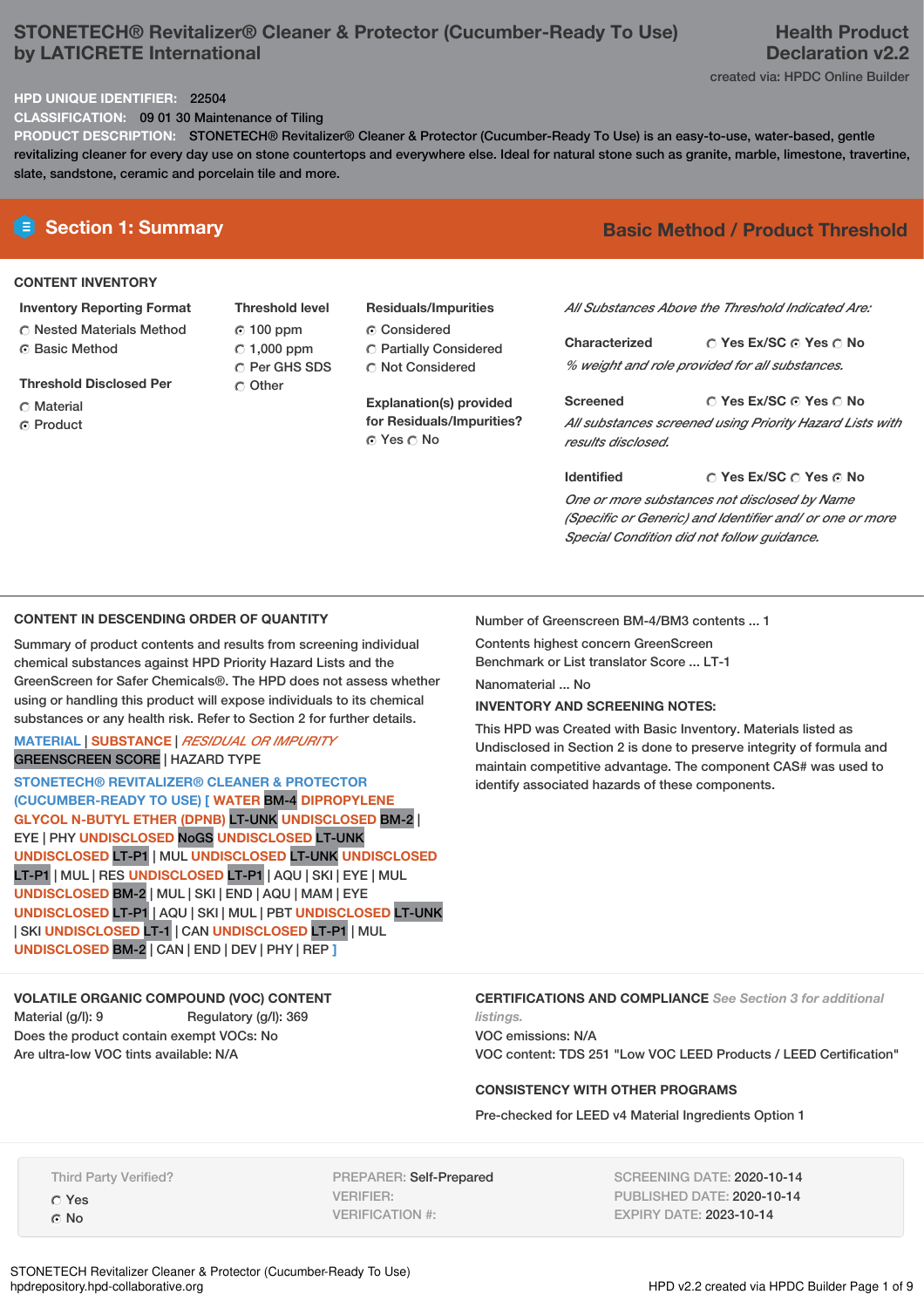# **STONETECH® Revitalizer® Cleaner & Protector (Cucumber-Ready To Use) by LATICRETE International**

# **Health Product Declaration v2.2**

created via: HPDC Online Builder

## **HPD UNIQUE IDENTIFIER:** 22504

**CLASSIFICATION:** 09 01 30 Maintenance of Tiling

**PRODUCT DESCRIPTION:** STONETECH® Revitalizer® Cleaner & Protector (Cucumber-Ready To Use) is an easy-to-use, water-based, gentle revitalizing cleaner for every day use on stone countertops and everywhere else. Ideal for natural stone such as granite, marble, limestone, travertine, slate, sandstone, ceramic and porcelain tile and more.

# **CONTENT INVENTORY**

## **Inventory Reporting Format**

**C** Nested Materials Method ⊙ Basic Method

**Threshold Disclosed Per**

- C Material
- Product

**Threshold level** 100 ppm  $\degree$  1,000 ppm C Per GHS SDS Other

## **Residuals/Impurities** Considered

Partially Considered C Not Considered

**Explanation(s) provided for Residuals/Impurities?** © Yes ○ No

# **E** Section 1: Summary **Basic Method / Product Threshold**

*All Substances Above the Threshold Indicated Are:*

**Yes Ex/SC Yes No Characterized** *% weight and role provided for all substances.*

**Yes Ex/SC Yes No Screened** *All substances screened using Priority Hazard Lists with results disclosed.*

**Yes Ex/SC Yes No Identified** *One or more substances not disclosed by Name (Specific or Generic) and Identifier and/ or one or more Special Condition did not follow guidance.*

#### **CONTENT IN DESCENDING ORDER OF QUANTITY**

Summary of product contents and results from screening individual chemical substances against HPD Priority Hazard Lists and the GreenScreen for Safer Chemicals®. The HPD does not assess whether using or handling this product will expose individuals to its chemical substances or any health risk. Refer to Section 2 for further details.

#### **MATERIAL** | **SUBSTANCE** | *RESIDUAL OR IMPURITY* GREENSCREEN SCORE | HAZARD TYPE

**STONETECH® REVITALIZER® CLEANER & PROTECTOR (CUCUMBER-READY TO USE) [ WATER** BM-4 **DIPROPYLENE GLYCOL N-BUTYL ETHER (DPNB)** LT-UNK **UNDISCLOSED** BM-2 | EYE | PHY **UNDISCLOSED** NoGS **UNDISCLOSED** LT-UNK **UNDISCLOSED** LT-P1 | MUL **UNDISCLOSED** LT-UNK **UNDISCLOSED** LT-P1 | MUL | RES **UNDISCLOSED** LT-P1 | AQU | SKI | EYE | MUL **UNDISCLOSED** BM-2 | MUL | SKI | END | AQU | MAM | EYE **UNDISCLOSED** LT-P1 | AQU | SKI | MUL | PBT **UNDISCLOSED** LT-UNK | SKI **UNDISCLOSED** LT-1 | CAN **UNDISCLOSED** LT-P1 | MUL **UNDISCLOSED** BM-2 | CAN | END | DEV | PHY | REP **]**

**VOLATILE ORGANIC COMPOUND (VOC) CONTENT** Material (g/l): 9 Regulatory (g/l): 369 Does the product contain exempt VOCs: No Are ultra-low VOC tints available: N/A

Number of Greenscreen BM-4/BM3 contents ... 1

Contents highest concern GreenScreen Benchmark or List translator Score ... LT-1

Nanomaterial ... No

#### **INVENTORY AND SCREENING NOTES:**

This HPD was Created with Basic Inventory. Materials listed as Undisclosed in Section 2 is done to preserve integrity of formula and maintain competitive advantage. The component CAS# was used to identify associated hazards of these components.

#### **CERTIFICATIONS AND COMPLIANCE** *See Section 3 for additional*

*listings.* VOC emissions: N/A VOC content: TDS 251 "Low VOC LEED Products / LEED Certification"

# **CONSISTENCY WITH OTHER PROGRAMS**

Pre-checked for LEED v4 Material Ingredients Option 1

Third Party Verified? Yes No

PREPARER: Self-Prepared VERIFIER: VERIFICATION #:

SCREENING DATE: 2020-10-14 PUBLISHED DATE: 2020-10-14 EXPIRY DATE: 2023-10-14

STONETECH Revitalizer Cleaner & Protector (Cucumber-Ready To Use)<br>hodrepository.hpd-collaborative.org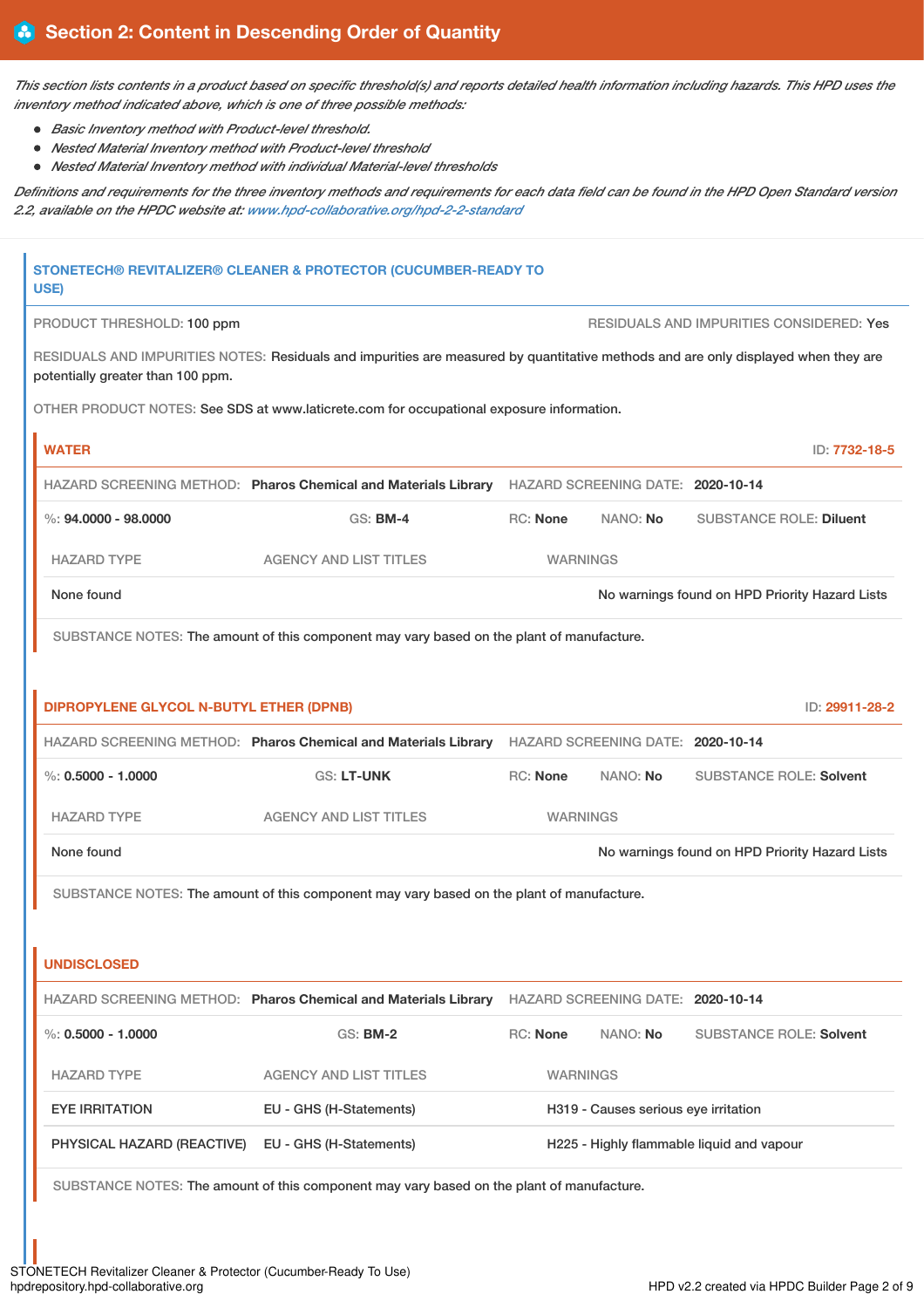This section lists contents in a product based on specific threshold(s) and reports detailed health information including hazards. This HPD uses the *inventory method indicated above, which is one of three possible methods:*

- *Basic Inventory method with Product-level threshold.*
- *Nested Material Inventory method with Product-level threshold*
- *Nested Material Inventory method with individual Material-level thresholds*

Definitions and requirements for the three inventory methods and requirements for each data field can be found in the HPD Open Standard version *2.2, available on the HPDC website at: [www.hpd-collaborative.org/hpd-2-2-standard](https://www.hpd-collaborative.org/hpd-2-2-standard)*

| USE)                                                                                      | STONETECH® REVITALIZER® CLEANER & PROTECTOR (CUCUMBER-READY TO                                                                     |                 |                                      |                                                 |
|-------------------------------------------------------------------------------------------|------------------------------------------------------------------------------------------------------------------------------------|-----------------|--------------------------------------|-------------------------------------------------|
| PRODUCT THRESHOLD: 100 ppm                                                                |                                                                                                                                    |                 |                                      | <b>RESIDUALS AND IMPURITIES CONSIDERED: Yes</b> |
| potentially greater than 100 ppm.                                                         | RESIDUALS AND IMPURITIES NOTES: Residuals and impurities are measured by quantitative methods and are only displayed when they are |                 |                                      |                                                 |
|                                                                                           | OTHER PRODUCT NOTES: See SDS at www.laticrete.com for occupational exposure information.                                           |                 |                                      |                                                 |
| <b>WATER</b>                                                                              |                                                                                                                                    |                 |                                      | ID: 7732-18-5                                   |
|                                                                                           | HAZARD SCREENING METHOD: Pharos Chemical and Materials Library HAZARD SCREENING DATE: 2020-10-14                                   |                 |                                      |                                                 |
| $\%$ : 94.0000 - 98.0000                                                                  | <b>GS: BM-4</b>                                                                                                                    | <b>RC: None</b> | NANO: No                             | <b>SUBSTANCE ROLE: Diluent</b>                  |
| <b>HAZARD TYPE</b>                                                                        | <b>AGENCY AND LIST TITLES</b>                                                                                                      | <b>WARNINGS</b> |                                      |                                                 |
| None found                                                                                |                                                                                                                                    |                 |                                      | No warnings found on HPD Priority Hazard Lists  |
| SUBSTANCE NOTES: The amount of this component may vary based on the plant of manufacture. |                                                                                                                                    |                 |                                      |                                                 |
|                                                                                           |                                                                                                                                    |                 |                                      |                                                 |
| <b>DIPROPYLENE GLYCOL N-BUTYL ETHER (DPNB)</b>                                            |                                                                                                                                    |                 |                                      | ID: 29911-28-2                                  |
|                                                                                           | HAZARD SCREENING METHOD: Pharos Chemical and Materials Library                                                                     |                 | HAZARD SCREENING DATE: 2020-10-14    |                                                 |
| $\%: 0.5000 - 1.0000$                                                                     | <b>GS: LT-UNK</b>                                                                                                                  | RC: None        | NANO: No                             | <b>SUBSTANCE ROLE: Solvent</b>                  |
| <b>HAZARD TYPE</b>                                                                        | <b>AGENCY AND LIST TITLES</b>                                                                                                      | <b>WARNINGS</b> |                                      |                                                 |
| None found                                                                                |                                                                                                                                    |                 |                                      | No warnings found on HPD Priority Hazard Lists  |
|                                                                                           | SUBSTANCE NOTES: The amount of this component may vary based on the plant of manufacture.                                          |                 |                                      |                                                 |
|                                                                                           |                                                                                                                                    |                 |                                      |                                                 |
| <b>UNDISCLOSED</b>                                                                        |                                                                                                                                    |                 |                                      |                                                 |
|                                                                                           | HAZARD SCREENING METHOD: Pharos Chemical and Materials Library HAZARD SCREENING DATE: 2020-10-14                                   |                 |                                      |                                                 |
| $\%$ : 0.5000 - 1.0000                                                                    | <b>GS: BM-2</b>                                                                                                                    | RC: None        | NANO: No                             | <b>SUBSTANCE ROLE: Solvent</b>                  |
| <b>HAZARD TYPE</b>                                                                        | <b>AGENCY AND LIST TITLES</b>                                                                                                      | <b>WARNINGS</b> |                                      |                                                 |
| <b>EYE IRRITATION</b>                                                                     | EU - GHS (H-Statements)                                                                                                            |                 | H319 - Causes serious eye irritation |                                                 |
| PHYSICAL HAZARD (REACTIVE)                                                                | EU - GHS (H-Statements)                                                                                                            |                 |                                      | H225 - Highly flammable liquid and vapour       |
|                                                                                           | SUBSTANCE NOTES: The amount of this component may vary based on the plant of manufacture.                                          |                 |                                      |                                                 |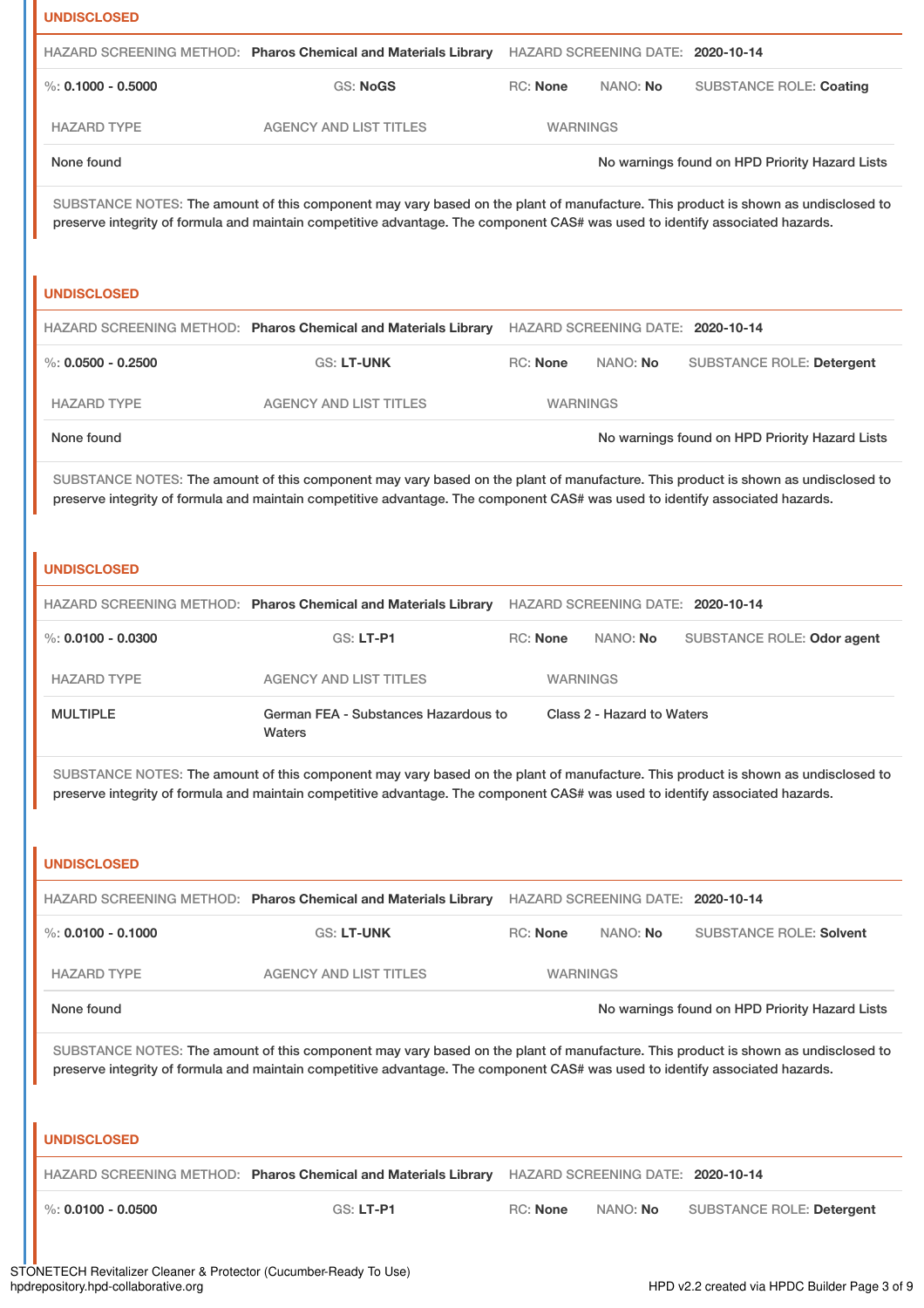| <b>UNDISCLOSED</b>     |                                                                                                                                                                                                                                                                    |                 |                                   |                                                |
|------------------------|--------------------------------------------------------------------------------------------------------------------------------------------------------------------------------------------------------------------------------------------------------------------|-----------------|-----------------------------------|------------------------------------------------|
|                        | HAZARD SCREENING METHOD: Pharos Chemical and Materials Library                                                                                                                                                                                                     |                 | HAZARD SCREENING DATE: 2020-10-14 |                                                |
| $\%$ : 0.1000 - 0.5000 | GS: NoGS                                                                                                                                                                                                                                                           | RC: None        | NANO: No                          | <b>SUBSTANCE ROLE: Coating</b>                 |
| <b>HAZARD TYPE</b>     | <b>AGENCY AND LIST TITLES</b>                                                                                                                                                                                                                                      | <b>WARNINGS</b> |                                   |                                                |
| None found             |                                                                                                                                                                                                                                                                    |                 |                                   | No warnings found on HPD Priority Hazard Lists |
|                        | SUBSTANCE NOTES: The amount of this component may vary based on the plant of manufacture. This product is shown as undisclosed to<br>preserve integrity of formula and maintain competitive advantage. The component CAS# was used to identify associated hazards. |                 |                                   |                                                |
| <b>UNDISCLOSED</b>     | HAZARD SCREENING METHOD: Pharos Chemical and Materials Library HAZARD SCREENING DATE: 2020-10-14                                                                                                                                                                   |                 |                                   |                                                |
| $\%$ : 0.0500 - 0.2500 | <b>GS: LT-UNK</b>                                                                                                                                                                                                                                                  | RC: None        | NANO: No                          | <b>SUBSTANCE ROLE: Detergent</b>               |
|                        |                                                                                                                                                                                                                                                                    |                 |                                   |                                                |
| <b>HAZARD TYPE</b>     | <b>AGENCY AND LIST TITLES</b>                                                                                                                                                                                                                                      | <b>WARNINGS</b> |                                   |                                                |
| None found             |                                                                                                                                                                                                                                                                    |                 |                                   | No warnings found on HPD Priority Hazard Lists |
|                        | SUBSTANCE NOTES: The amount of this component may vary based on the plant of manufacture. This product is shown as undisclosed to<br>preserve integrity of formula and maintain competitive advantage. The component CAS# was used to identify associated hazards. |                 |                                   |                                                |
| <b>UNDISCLOSED</b>     |                                                                                                                                                                                                                                                                    |                 |                                   |                                                |
|                        | HAZARD SCREENING METHOD: Pharos Chemical and Materials Library HAZARD SCREENING DATE: 2020-10-14                                                                                                                                                                   |                 |                                   |                                                |
| $\%$ : 0.0100 - 0.0300 | <b>GS: LT-P1</b>                                                                                                                                                                                                                                                   | RC: None        | NANO: No                          | SUBSTANCE ROLE: Odor agent                     |
| <b>HAZARD TYPE</b>     | <b>AGENCY AND LIST TITLES</b>                                                                                                                                                                                                                                      | <b>WARNINGS</b> |                                   |                                                |
| <b>MULTIPLE</b>        | German FEA - Substances Hazardous to<br>Waters                                                                                                                                                                                                                     |                 | Class 2 - Hazard to Waters        |                                                |
| <b>UNDISCLOSED</b>     | SUBSTANCE NOTES: The amount of this component may vary based on the plant of manufacture. This product is shown as undisclosed to<br>preserve integrity of formula and maintain competitive advantage. The component CAS# was used to identify associated hazards. |                 |                                   |                                                |
|                        | HAZARD SCREENING METHOD: Pharos Chemical and Materials Library HAZARD SCREENING DATE: 2020-10-14                                                                                                                                                                   |                 |                                   |                                                |
| %: $0.0100 - 0.1000$   | GS: LT-UNK                                                                                                                                                                                                                                                         | RC: None        | NANO: No                          | <b>SUBSTANCE ROLE: Solvent</b>                 |
| <b>HAZARD TYPE</b>     | <b>AGENCY AND LIST TITLES</b>                                                                                                                                                                                                                                      | <b>WARNINGS</b> |                                   |                                                |
| None found             |                                                                                                                                                                                                                                                                    |                 |                                   | No warnings found on HPD Priority Hazard Lists |
|                        | SUBSTANCE NOTES: The amount of this component may vary based on the plant of manufacture. This product is shown as undisclosed to<br>preserve integrity of formula and maintain competitive advantage. The component CAS# was used to identify associated hazards. |                 |                                   |                                                |
| <b>UNDISCLOSED</b>     |                                                                                                                                                                                                                                                                    |                 |                                   |                                                |
|                        | HAZARD SCREENING METHOD: Pharos Chemical and Materials Library HAZARD SCREENING DATE: 2020-10-14                                                                                                                                                                   |                 |                                   |                                                |
| $\%$ : 0.0100 - 0.0500 | GS: LT-P1                                                                                                                                                                                                                                                          | RC: None        | NANO: No                          | <b>SUBSTANCE ROLE: Detergent</b>               |
|                        |                                                                                                                                                                                                                                                                    |                 |                                   |                                                |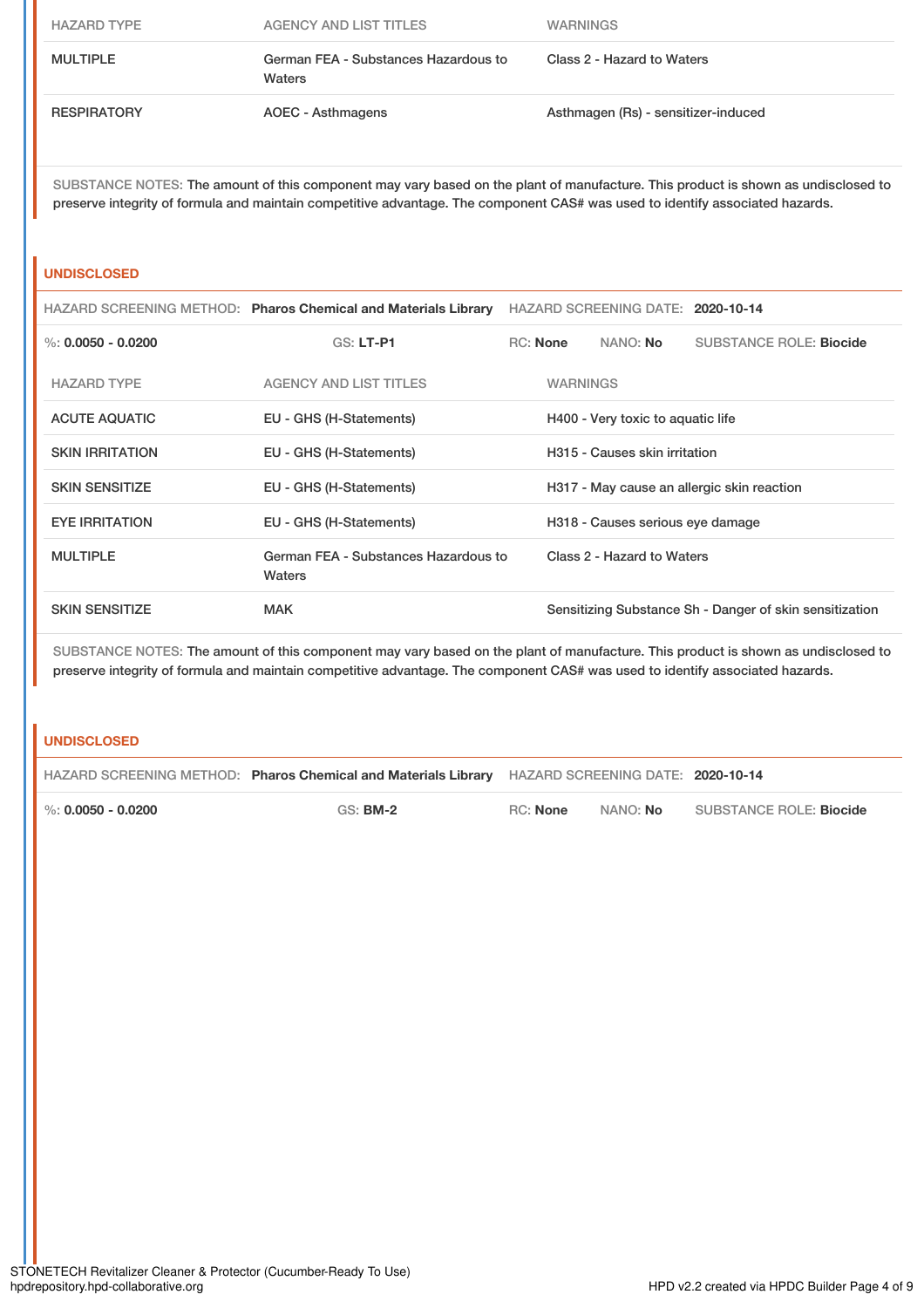| <b>HAZARD TYPE</b> | AGENCY AND LIST TITLES                         | <b>WARNINGS</b>                     |
|--------------------|------------------------------------------------|-------------------------------------|
| <b>MULTIPLE</b>    | German FEA - Substances Hazardous to<br>Waters | Class 2 - Hazard to Waters          |
| <b>RESPIRATORY</b> | AOEC - Asthmagens                              | Asthmagen (Rs) - sensitizer-induced |

## **UNDISCLOSED**

|                        | HAZARD SCREENING METHOD: Pharos Chemical and Materials Library | HAZARD SCREENING DATE: 2020-10-14          |                 |                                  |                                                         |
|------------------------|----------------------------------------------------------------|--------------------------------------------|-----------------|----------------------------------|---------------------------------------------------------|
| %: $0.0050 - 0.0200$   | <b>GS: LT-P1</b>                                               | RC: None                                   |                 | NANO: <b>No</b>                  | <b>SUBSTANCE ROLE: Biocide</b>                          |
| <b>HAZARD TYPE</b>     | AGENCY AND LIST TITLES                                         |                                            | <b>WARNINGS</b> |                                  |                                                         |
| <b>ACUTE AQUATIC</b>   | EU - GHS (H-Statements)                                        | H400 - Very toxic to aquatic life          |                 |                                  |                                                         |
| <b>SKIN IRRITATION</b> | EU - GHS (H-Statements)                                        | H315 - Causes skin irritation              |                 |                                  |                                                         |
| <b>SKIN SENSITIZE</b>  | EU - GHS (H-Statements)                                        | H317 - May cause an allergic skin reaction |                 |                                  |                                                         |
| <b>EYE IRRITATION</b>  | EU - GHS (H-Statements)                                        |                                            |                 | H318 - Causes serious eye damage |                                                         |
| <b>MULTIPLE</b>        | German FEA - Substances Hazardous to<br>Waters                 |                                            |                 | Class 2 - Hazard to Waters       |                                                         |
| <b>SKIN SENSITIZE</b>  | <b>MAK</b>                                                     |                                            |                 |                                  | Sensitizing Substance Sh - Danger of skin sensitization |

SUBSTANCE NOTES: The amount of this component may vary based on the plant of manufacture. This product is shown as undisclosed to preserve integrity of formula and maintain competitive advantage. The component CAS# was used to identify associated hazards.

## **UNDISCLOSED**

|                        | HAZARD SCREENING METHOD: Pharos Chemical and Materials Library HAZARD SCREENING DATE: 2020-10-14 |          |                 |                                |
|------------------------|--------------------------------------------------------------------------------------------------|----------|-----------------|--------------------------------|
| $\%$ : 0.0050 - 0.0200 | <b>GS: BM-2</b>                                                                                  | RC: None | NANO: <b>No</b> | SUBSTANCE ROLE: <b>Biocide</b> |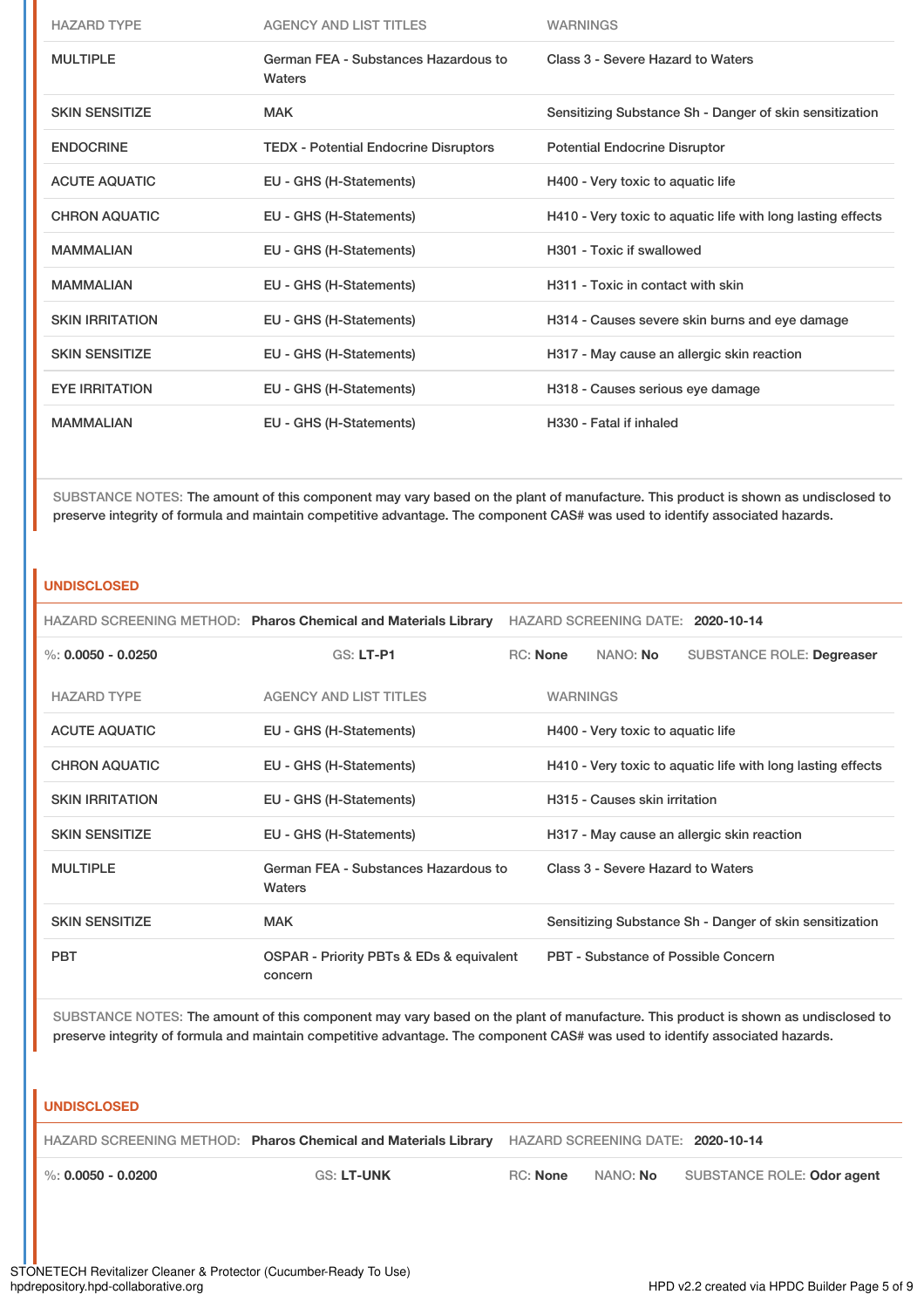| <b>HAZARD TYPE</b>     | <b>AGENCY AND LIST TITLES</b>                  | <b>WARNINGS</b>                                             |
|------------------------|------------------------------------------------|-------------------------------------------------------------|
| <b>MULTIPLE</b>        | German FEA - Substances Hazardous to<br>Waters | Class 3 - Severe Hazard to Waters                           |
| <b>SKIN SENSITIZE</b>  | <b>MAK</b>                                     | Sensitizing Substance Sh - Danger of skin sensitization     |
| <b>ENDOCRINE</b>       | <b>TEDX</b> - Potential Endocrine Disruptors   | <b>Potential Endocrine Disruptor</b>                        |
| <b>ACUTE AQUATIC</b>   | EU - GHS (H-Statements)                        | H400 - Very toxic to aquatic life                           |
| <b>CHRON AQUATIC</b>   | EU - GHS (H-Statements)                        | H410 - Very toxic to aquatic life with long lasting effects |
| <b>MAMMALIAN</b>       | EU - GHS (H-Statements)                        | H301 - Toxic if swallowed                                   |
| <b>MAMMALIAN</b>       | EU - GHS (H-Statements)                        | H311 - Toxic in contact with skin                           |
| <b>SKIN IRRITATION</b> | EU - GHS (H-Statements)                        | H314 - Causes severe skin burns and eye damage              |
| <b>SKIN SENSITIZE</b>  | EU - GHS (H-Statements)                        | H317 - May cause an allergic skin reaction                  |
| <b>EYE IRRITATION</b>  | EU - GHS (H-Statements)                        | H318 - Causes serious eye damage                            |
| <b>MAMMALIAN</b>       | EU - GHS (H-Statements)                        | H330 - Fatal if inhaled                                     |

## **UNDISCLOSED**

|                        | HAZARD SCREENING METHOD: Pharos Chemical and Materials Library | HAZARD SCREENING DATE: 2020-10-14 |                 |                                   |                                                             |  |
|------------------------|----------------------------------------------------------------|-----------------------------------|-----------------|-----------------------------------|-------------------------------------------------------------|--|
| %: $0.0050 - 0.0250$   | <b>GS: LT-P1</b>                                               |                                   | <b>RC:</b> None | NANO: No                          | SUBSTANCE ROLE: Degreaser                                   |  |
| <b>HAZARD TYPE</b>     | <b>AGENCY AND LIST TITLES</b>                                  |                                   | <b>WARNINGS</b> |                                   |                                                             |  |
| <b>ACUTE AQUATIC</b>   | EU - GHS (H-Statements)                                        |                                   |                 | H400 - Very toxic to aquatic life |                                                             |  |
| <b>CHRON AQUATIC</b>   | EU - GHS (H-Statements)                                        |                                   |                 |                                   | H410 - Very toxic to aquatic life with long lasting effects |  |
| <b>SKIN IRRITATION</b> | EU - GHS (H-Statements)                                        |                                   |                 | H315 - Causes skin irritation     |                                                             |  |
| <b>SKIN SENSITIZE</b>  | EU - GHS (H-Statements)                                        |                                   |                 |                                   | H317 - May cause an allergic skin reaction                  |  |
| <b>MULTIPLE</b>        | German FEA - Substances Hazardous to<br>Waters                 |                                   |                 | Class 3 - Severe Hazard to Waters |                                                             |  |
| <b>SKIN SENSITIZE</b>  | <b>MAK</b>                                                     |                                   |                 |                                   | Sensitizing Substance Sh - Danger of skin sensitization     |  |
| <b>PBT</b>             | OSPAR - Priority PBTs & EDs & equivalent<br>concern            |                                   |                 |                                   | PBT - Substance of Possible Concern                         |  |

SUBSTANCE NOTES: The amount of this component may vary based on the plant of manufacture. This product is shown as undisclosed to preserve integrity of formula and maintain competitive advantage. The component CAS# was used to identify associated hazards.

#### **UNDISCLOSED**

|                        | HAZARD SCREENING METHOD: Pharos Chemical and Materials Library HAZARD SCREENING DATE: 2020-10-14 |                 |            |                            |
|------------------------|--------------------------------------------------------------------------------------------------|-----------------|------------|----------------------------|
| $\%$ : 0.0050 - 0.0200 | GS: LT-UNK                                                                                       | RC: <b>None</b> | . NANO: No | SUBSTANCE ROLE: Odor agent |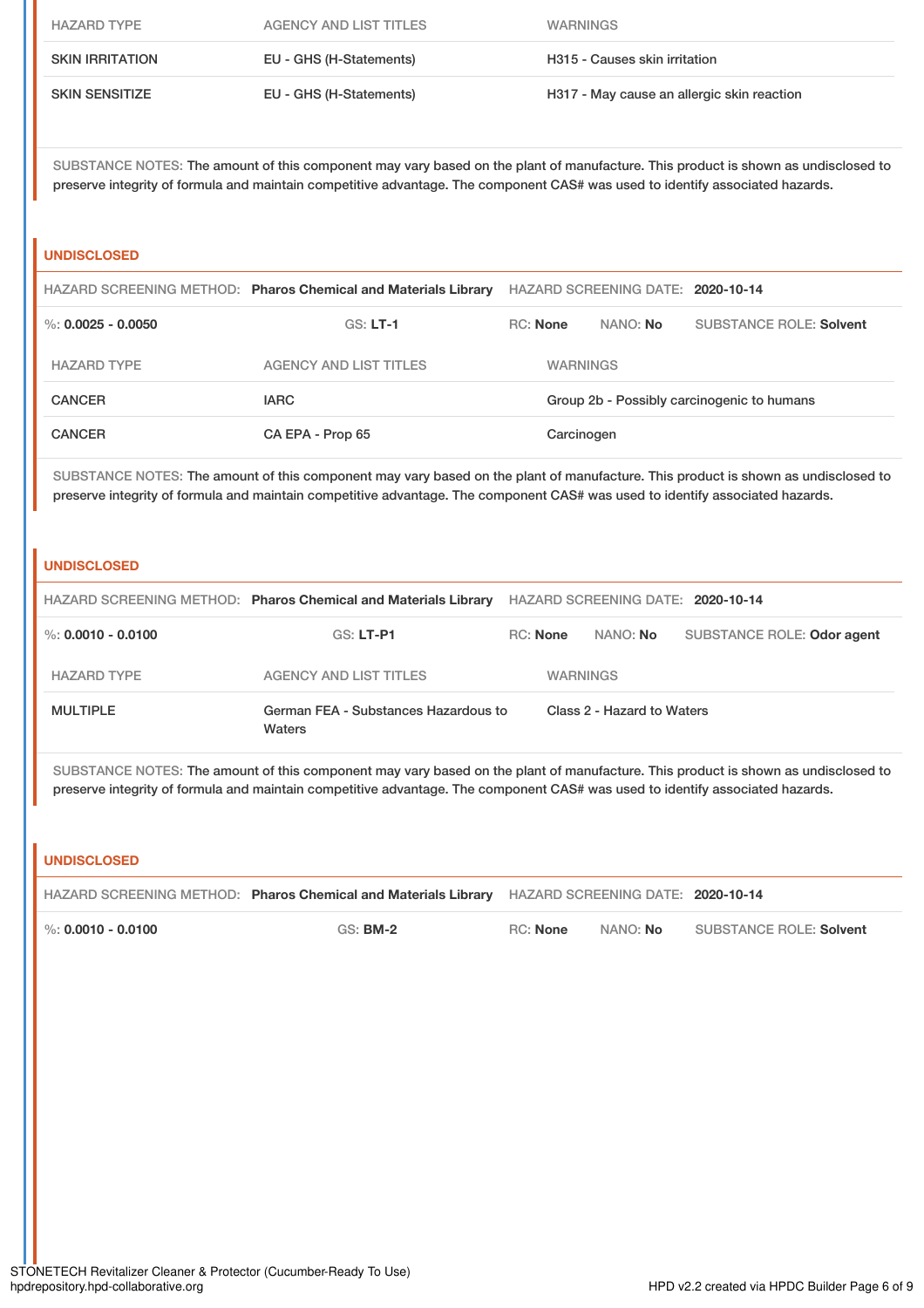| <b>HAZARD TYPE</b>     | AGENCY AND LIST TITLES  | <b>WARNINGS</b>                            |
|------------------------|-------------------------|--------------------------------------------|
| <b>SKIN IRRITATION</b> | EU - GHS (H-Statements) | H315 - Causes skin irritation              |
| <b>SKIN SENSITIZE</b>  | EU - GHS (H-Statements) | H317 - May cause an allergic skin reaction |

## **UNDISCLOSED**

|                      | HAZARD SCREENING METHOD: Pharos Chemical and Materials Library | HAZARD SCREENING DATE: 2020-10-14          |                 |                                |
|----------------------|----------------------------------------------------------------|--------------------------------------------|-----------------|--------------------------------|
| %: $0.0025 - 0.0050$ | $GS: LT-1$                                                     | RC: None                                   | NANO: <b>No</b> | <b>SUBSTANCE ROLE: Solvent</b> |
| <b>HAZARD TYPE</b>   | AGENCY AND LIST TITLES                                         | <b>WARNINGS</b>                            |                 |                                |
| <b>CANCER</b>        | <b>IARC</b>                                                    | Group 2b - Possibly carcinogenic to humans |                 |                                |
| <b>CANCER</b>        | CA EPA - Prop 65                                               | Carcinogen                                 |                 |                                |

SUBSTANCE NOTES: The amount of this component may vary based on the plant of manufacture. This product is shown as undisclosed to preserve integrity of formula and maintain competitive advantage. The component CAS# was used to identify associated hazards.

#### **UNDISCLOSED**

|                    | HAZARD SCREENING METHOD: Pharos Chemical and Materials Library | HAZARD SCREENING DATE: 2020-10-14 |                 |                            |  |
|--------------------|----------------------------------------------------------------|-----------------------------------|-----------------|----------------------------|--|
| %: 0.0010 - 0.0100 | GS: LT-P1                                                      | <b>RC:</b> None                   | NANO: No        | SUBSTANCE ROLE: Odor agent |  |
| <b>HAZARD TYPE</b> | AGENCY AND LIST TITLES                                         |                                   | <b>WARNINGS</b> |                            |  |
| <b>MULTIPLE</b>    | German FEA - Substances Hazardous to<br>Waters                 | Class 2 - Hazard to Waters        |                 |                            |  |

SUBSTANCE NOTES: The amount of this component may vary based on the plant of manufacture. This product is shown as undisclosed to preserve integrity of formula and maintain competitive advantage. The component CAS# was used to identify associated hazards.

#### **UNDISCLOSED**

|                        | HAZARD SCREENING METHOD: Pharos Chemical and Materials Library HAZARD SCREENING DATE: 2020-10-14 |          |          |                                |
|------------------------|--------------------------------------------------------------------------------------------------|----------|----------|--------------------------------|
| $\%$ : 0.0010 - 0.0100 | <b>GS: BM-2</b>                                                                                  | RC: None | NANO: No | <b>SUBSTANCE ROLE: Solvent</b> |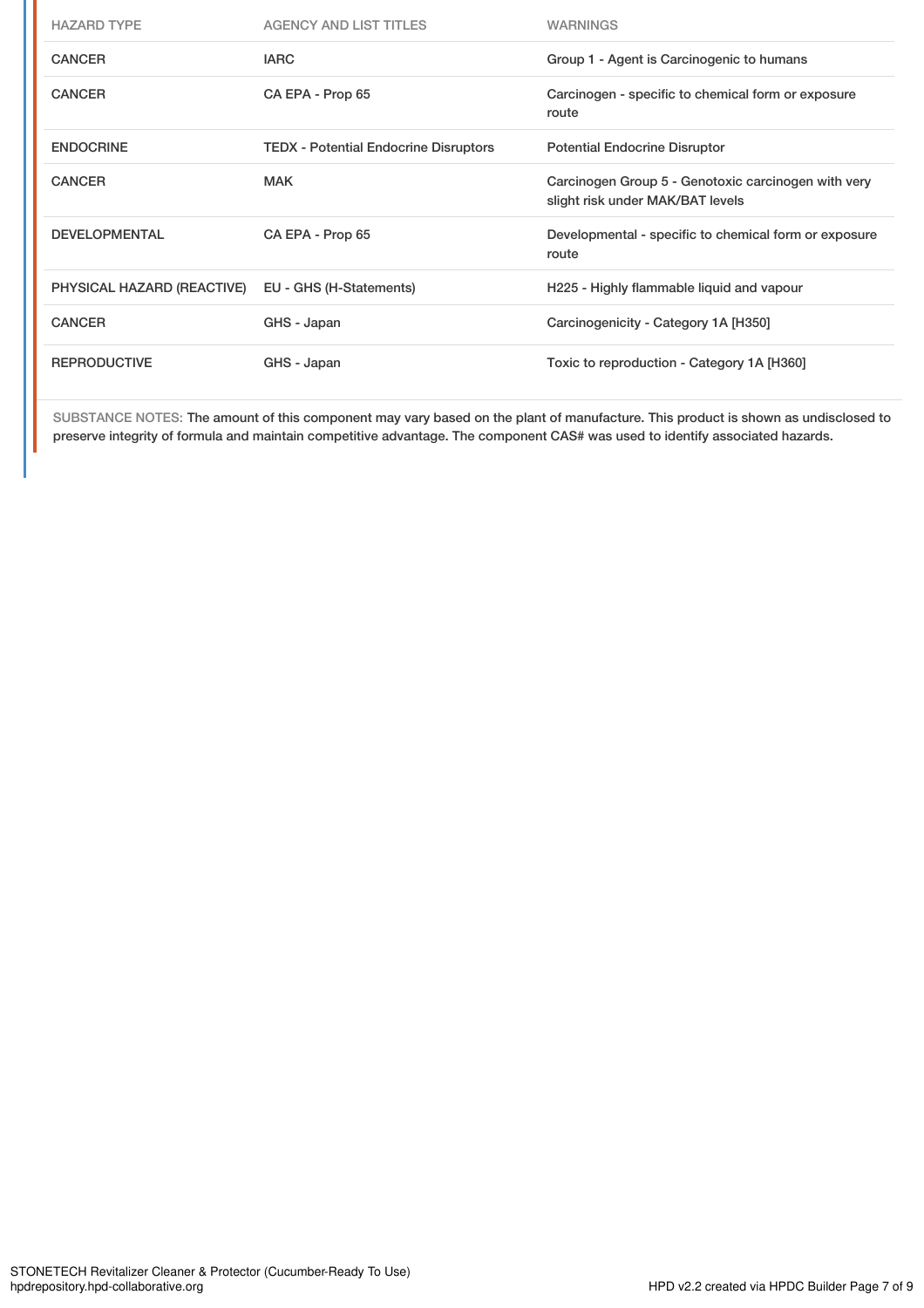| <b>HAZARD TYPE</b>         | <b>AGENCY AND LIST TITLES</b>                | <b>WARNINGS</b>                                                                         |
|----------------------------|----------------------------------------------|-----------------------------------------------------------------------------------------|
| <b>CANCER</b>              | <b>IARC</b>                                  | Group 1 - Agent is Carcinogenic to humans                                               |
| <b>CANCER</b>              | CA EPA - Prop 65                             | Carcinogen - specific to chemical form or exposure<br>route                             |
| <b>ENDOCRINE</b>           | <b>TEDX</b> - Potential Endocrine Disruptors | <b>Potential Endocrine Disruptor</b>                                                    |
| <b>CANCER</b>              | <b>MAK</b>                                   | Carcinogen Group 5 - Genotoxic carcinogen with very<br>slight risk under MAK/BAT levels |
| <b>DEVELOPMENTAL</b>       | CA EPA - Prop 65                             | Developmental - specific to chemical form or exposure<br>route                          |
| PHYSICAL HAZARD (REACTIVE) | EU - GHS (H-Statements)                      | H225 - Highly flammable liquid and vapour                                               |
| <b>CANCER</b>              | GHS - Japan                                  | Carcinogenicity - Category 1A [H350]                                                    |
| <b>REPRODUCTIVE</b>        | GHS - Japan                                  | Toxic to reproduction - Category 1A [H360]                                              |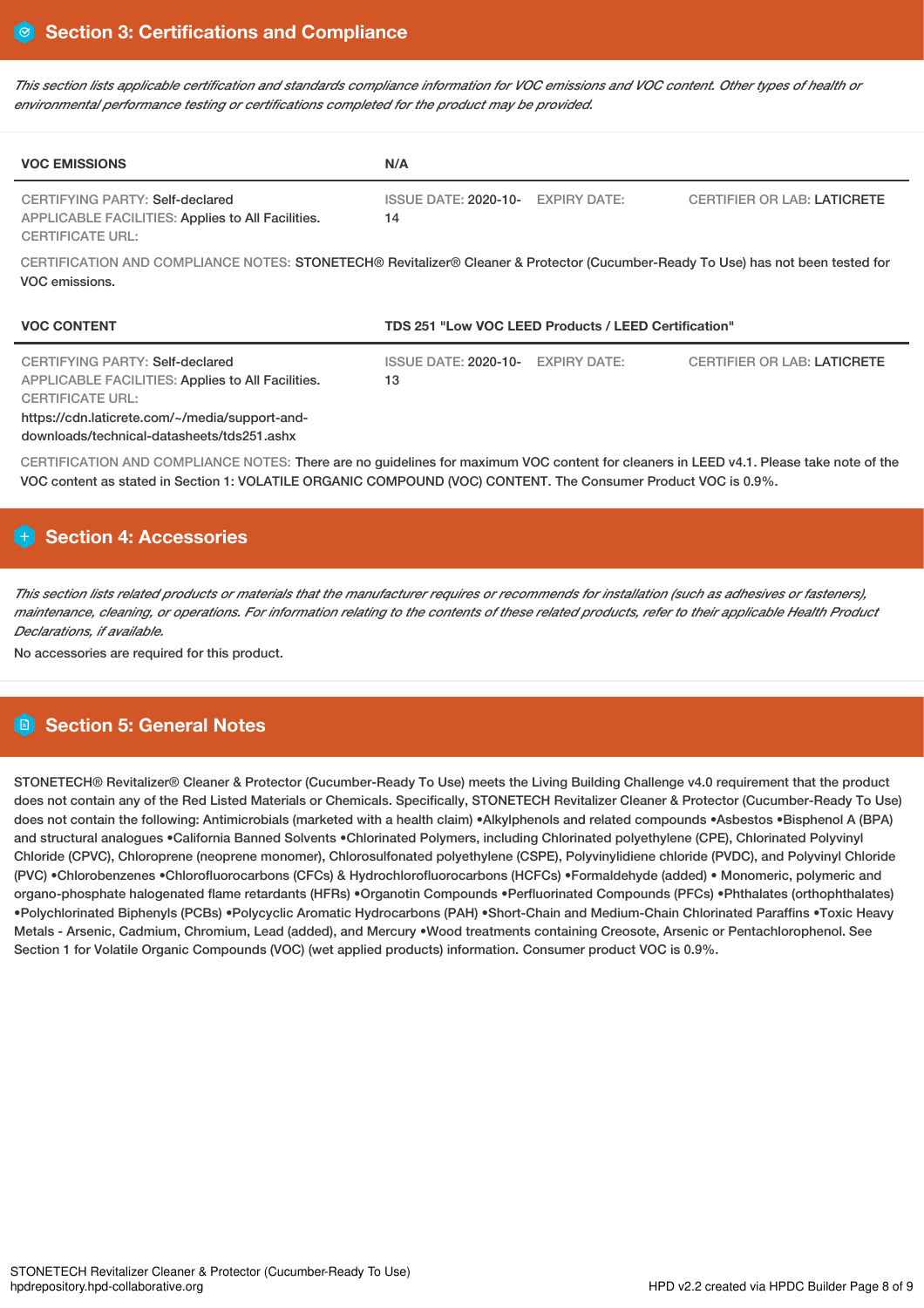This section lists applicable certification and standards compliance information for VOC emissions and VOC content. Other types of health or *environmental performance testing or certifications completed for the product may be provided.*

| <b>VOC EMISSIONS</b>                                                                                                                              | N/A                                                                           |  |  |  |
|---------------------------------------------------------------------------------------------------------------------------------------------------|-------------------------------------------------------------------------------|--|--|--|
| CERTIFYING PARTY: Self-declared<br>APPLICABLE FACILITIES: Applies to All Facilities.<br><b>CERTIFICATE URL:</b>                                   | ISSUE DATE: 2020-10- EXPIRY DATE:<br><b>CERTIFIER OR LAB: LATICRETE</b><br>14 |  |  |  |
| CERTIFICATION AND COMPLIANCE NOTES: STONETECH® Revitalizer® Cleaner & Protector (Cucumber-Ready To Use) has not been tested for<br>VOC emissions. |                                                                               |  |  |  |
| <b>VOC CONTENT</b>                                                                                                                                | TDS 251 "Low VOC LEED Products / LEED Certification"                          |  |  |  |
| CERTIFYING PARTY: Self-declared<br>APPLICABLE FACILITIES: Applies to All Facilities.                                                              | <b>CERTIFIER OR LAB: LATICRETE</b><br>ISSUE DATE: 2020-10- EXPIRY DATE:<br>13 |  |  |  |

ACILITIES: Applies to All Facilities. CERTIFICATE URL: https://cdn.laticrete.com/~/media/support-and-

downloads/technical-datasheets/tds251.ashx

CERTIFICATION AND COMPLIANCE NOTES: There are no guidelines for maximum VOC content for cleaners in LEED v4.1. Please take note of the VOC content as stated in Section 1: VOLATILE ORGANIC COMPOUND (VOC) CONTENT. The Consumer Product VOC is 0.9%.

# **Section 4: Accessories**

This section lists related products or materials that the manufacturer requires or recommends for installation (such as adhesives or fasteners), maintenance, cleaning, or operations. For information relating to the contents of these related products, refer to their applicable Health Product *Declarations, if available.*

No accessories are required for this product.

# **Section 5: General Notes**

STONETECH® Revitalizer® Cleaner & Protector (Cucumber-Ready To Use) meets the Living Building Challenge v4.0 requirement that the product does not contain any of the Red Listed Materials or Chemicals. Specifically, STONETECH Revitalizer Cleaner & Protector (Cucumber-Ready To Use) does not contain the following: Antimicrobials (marketed with a health claim) •Alkylphenols and related compounds •Asbestos •Bisphenol A (BPA) and structural analogues •California Banned Solvents •Chlorinated Polymers, including Chlorinated polyethylene (CPE), Chlorinated Polyvinyl Chloride (CPVC), Chloroprene (neoprene monomer), Chlorosulfonated polyethylene (CSPE), Polyvinylidiene chloride (PVDC), and Polyvinyl Chloride (PVC) •Chlorobenzenes •Chlorofluorocarbons (CFCs) & Hydrochlorofluorocarbons (HCFCs) •Formaldehyde (added) • Monomeric, polymeric and organo-phosphate halogenated flame retardants (HFRs) •Organotin Compounds •Perfluorinated Compounds (PFCs) •Phthalates (orthophthalates) •Polychlorinated Biphenyls (PCBs) •Polycyclic Aromatic Hydrocarbons (PAH) •Short-Chain and Medium-Chain Chlorinated Paraffins •Toxic Heavy Metals - Arsenic, Cadmium, Chromium, Lead (added), and Mercury •Wood treatments containing Creosote, Arsenic or Pentachlorophenol. See Section 1 for Volatile Organic Compounds (VOC) (wet applied products) information. Consumer product VOC is 0.9%.